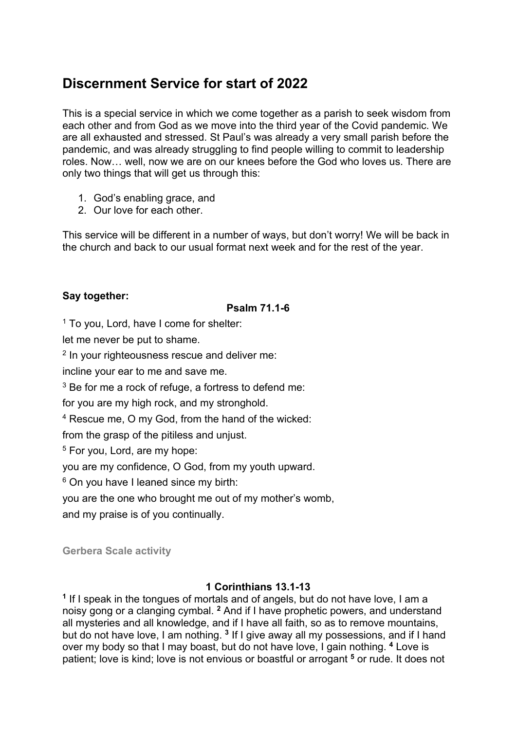# **Discernment Service for start of 2022**

This is a special service in which we come together as a parish to seek wisdom from each other and from God as we move into the third year of the Covid pandemic. We are all exhausted and stressed. St Paul's was already a very small parish before the pandemic, and was already struggling to find people willing to commit to leadership roles. Now… well, now we are on our knees before the God who loves us. There are only two things that will get us through this:

- 1. God's enabling grace, and
- 2. Our love for each other.

This service will be different in a number of ways, but don't worry! We will be back in the church and back to our usual format next week and for the rest of the year.

# **Say together:**

# **Psalm 71.1-6**

 $1$  To you, Lord, have I come for shelter:

let me never be put to shame.

<sup>2</sup> In your righteousness rescue and deliver me:

incline your ear to me and save me.

 $3$  Be for me a rock of refuge, a fortress to defend me:

for you are my high rock, and my stronghold.

<sup>4</sup> Rescue me, O my God, from the hand of the wicked:

from the grasp of the pitiless and unjust.

<sup>5</sup> For you, Lord, are my hope:

you are my confidence, O God, from my youth upward.

<sup>6</sup> On you have I leaned since my birth:

you are the one who brought me out of my mother's womb,

and my praise is of you continually.

**Gerbera Scale activity**

# **1 Corinthians 13.1-13**

**<sup>1</sup>** If I speak in the tongues of mortals and of angels, but do not have love, I am a noisy gong or a clanging cymbal. **<sup>2</sup>** And if I have prophetic powers, and understand all mysteries and all knowledge, and if I have all faith, so as to remove mountains, but do not have love. I am nothing, <sup>3</sup> If I give away all my possessions, and if I hand over my body so that I may boast, but do not have love, I gain nothing. **<sup>4</sup>** Love is patient; love is kind; love is not envious or boastful or arrogant **<sup>5</sup>** or rude. It does not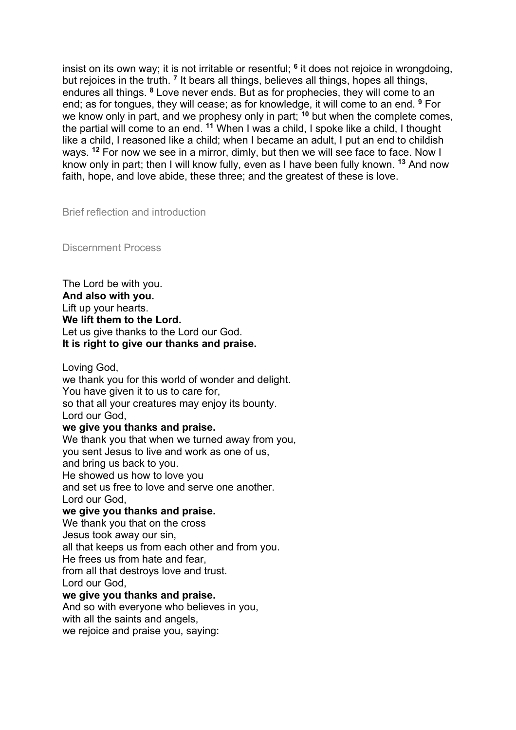insist on its own way; it is not irritable or resentful; **<sup>6</sup>** it does not rejoice in wrongdoing, but rejoices in the truth. **<sup>7</sup>** It bears all things, believes all things, hopes all things, endures all things. **<sup>8</sup>** Love never ends. But as for prophecies, they will come to an end; as for tongues, they will cease; as for knowledge, it will come to an end. **<sup>9</sup>** For we know only in part, and we prophesy only in part; **<sup>10</sup>** but when the complete comes, the partial will come to an end. **<sup>11</sup>** When I was a child, I spoke like a child, I thought like a child, I reasoned like a child; when I became an adult, I put an end to childish ways. **<sup>12</sup>** For now we see in a mirror, dimly, but then we will see face to face. Now I know only in part; then I will know fully, even as I have been fully known. **<sup>13</sup>** And now faith, hope, and love abide, these three; and the greatest of these is love.

Brief reflection and introduction

Discernment Process

The Lord be with you. **And also with you.**  Lift up your hearts. **We lift them to the Lord.**  Let us give thanks to the Lord our God. **It is right to give our thanks and praise.** 

Loving God,

we thank you for this world of wonder and delight. You have given it to us to care for, so that all your creatures may enjoy its bounty. Lord our God,

## **we give you thanks and praise.**

We thank you that when we turned away from you, you sent Jesus to live and work as one of us, and bring us back to you. He showed us how to love you and set us free to love and serve one another. Lord our God, **we give you thanks and praise.**  We thank you that on the cross Jesus took away our sin, all that keeps us from each other and from you. He frees us from hate and fear, from all that destroys love and trust. Lord our God,

# **we give you thanks and praise.**

And so with everyone who believes in you, with all the saints and angels, we rejoice and praise you, saying: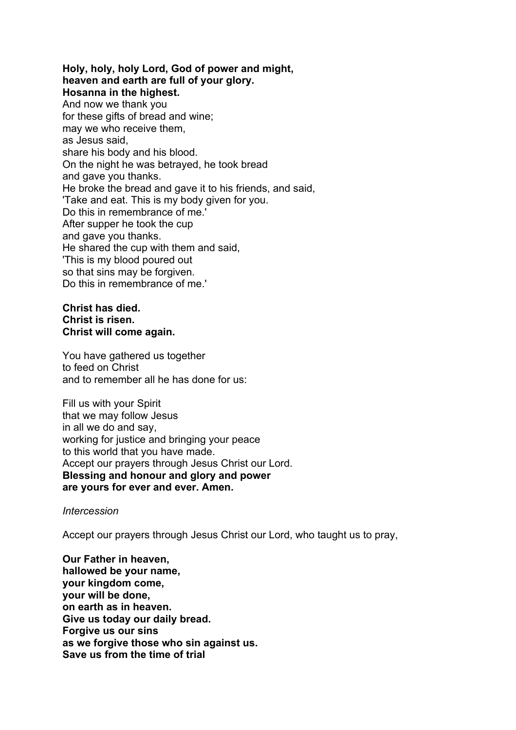#### **Holy, holy, holy Lord, God of power and might, heaven and earth are full of your glory. Hosanna in the highest.**

And now we thank you for these gifts of bread and wine; may we who receive them, as Jesus said, share his body and his blood. On the night he was betrayed, he took bread and gave you thanks. He broke the bread and gave it to his friends, and said, 'Take and eat. This is my body given for you. Do this in remembrance of me.' After supper he took the cup and gave you thanks. He shared the cup with them and said, 'This is my blood poured out so that sins may be forgiven. Do this in remembrance of me.'

## **Christ has died. Christ is risen. Christ will come again.**

You have gathered us together to feed on Christ and to remember all he has done for us:

Fill us with your Spirit that we may follow Jesus in all we do and say, working for justice and bringing your peace to this world that you have made. Accept our prayers through Jesus Christ our Lord. **Blessing and honour and glory and power are yours for ever and ever. Amen.** 

## *Intercession*

Accept our prayers through Jesus Christ our Lord, who taught us to pray,

**Our Father in heaven, hallowed be your name, your kingdom come, your will be done, on earth as in heaven. Give us today our daily bread. Forgive us our sins as we forgive those who sin against us. Save us from the time of trial**